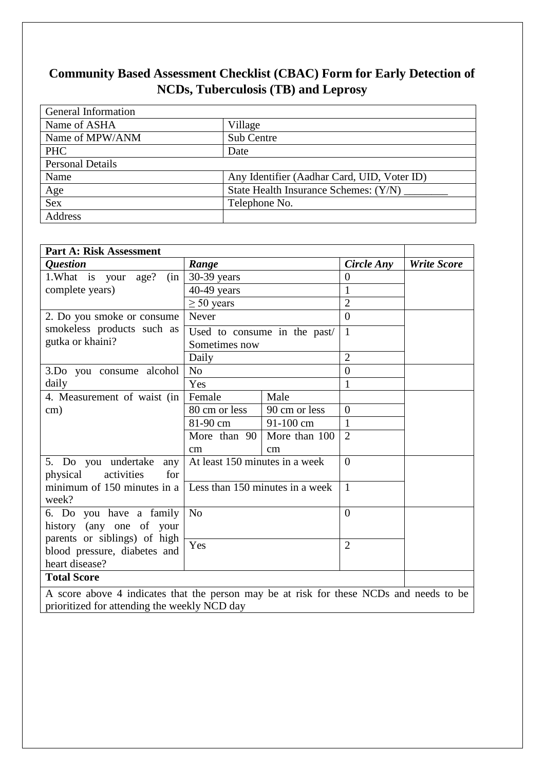## **Community Based Assessment Checklist (CBAC) Form for Early Detection of NCDs, Tuberculosis (TB) and Leprosy**

| General Information     |                                             |
|-------------------------|---------------------------------------------|
| Name of ASHA            | Village                                     |
| Name of MPW/ANM         | Sub Centre                                  |
| <b>PHC</b>              | Date                                        |
| <b>Personal Details</b> |                                             |
| Name                    | Any Identifier (Aadhar Card, UID, Voter ID) |
| Age                     | State Health Insurance Schemes: (Y/N)       |
| <b>Sex</b>              | Telephone No.                               |
| Address                 |                                             |

| <b>Part A: Risk Assessment</b>                                                          |                                                                     |               |                |                    |  |  |
|-----------------------------------------------------------------------------------------|---------------------------------------------------------------------|---------------|----------------|--------------------|--|--|
| <i><b>Ouestion</b></i>                                                                  | Range                                                               |               |                | <b>Write Score</b> |  |  |
| 1. What is your age? (in                                                                | 30-39 years                                                         |               |                |                    |  |  |
| complete years)                                                                         | $40-49$ years                                                       |               | 1              |                    |  |  |
|                                                                                         | $\geq 50$ years                                                     |               | $\overline{2}$ |                    |  |  |
| 2. Do you smoke or consume                                                              | Never                                                               |               | $\overline{0}$ |                    |  |  |
| smokeless products such as                                                              | Used to consume in the past/                                        |               | $\mathbf{1}$   |                    |  |  |
| gutka or khaini?                                                                        | Sometimes now                                                       |               |                |                    |  |  |
|                                                                                         | Daily                                                               |               | $\overline{2}$ |                    |  |  |
| 3.Do you consume alcohol                                                                | N <sub>o</sub>                                                      |               |                |                    |  |  |
| daily                                                                                   | Yes                                                                 |               | 1              |                    |  |  |
| 4. Measurement of waist (in                                                             | Female                                                              | Male          |                |                    |  |  |
| $\text{cm}$ )                                                                           | 80 cm or less                                                       | 90 cm or less | $\overline{0}$ |                    |  |  |
|                                                                                         | 81-90 cm                                                            | 91-100 cm     | $\mathbf{1}$   |                    |  |  |
|                                                                                         | More than 90                                                        | More than 100 | $\overline{2}$ |                    |  |  |
|                                                                                         | cm                                                                  | cm            |                |                    |  |  |
| 5. Do you undertake any                                                                 | At least 150 minutes in a week                                      |               | $\theta$       |                    |  |  |
| activities<br>physical<br>for                                                           |                                                                     |               |                |                    |  |  |
|                                                                                         | minimum of 150 minutes in a $\vert$ Less than 150 minutes in a week |               | $\mathbf{1}$   |                    |  |  |
| week?                                                                                   |                                                                     |               |                |                    |  |  |
| 6. Do you have a family                                                                 | N <sub>o</sub>                                                      |               | $\overline{0}$ |                    |  |  |
| history (any one of your                                                                |                                                                     |               |                |                    |  |  |
| parents or siblings) of high                                                            | Yes                                                                 |               | $\overline{2}$ |                    |  |  |
| blood pressure, diabetes and                                                            |                                                                     |               |                |                    |  |  |
| heart disease?                                                                          |                                                                     |               |                |                    |  |  |
| <b>Total Score</b>                                                                      |                                                                     |               |                |                    |  |  |
| A score above 4 indicates that the person may be at risk for these NCDs and needs to be |                                                                     |               |                |                    |  |  |
| prioritized for attending the weekly NCD day                                            |                                                                     |               |                |                    |  |  |